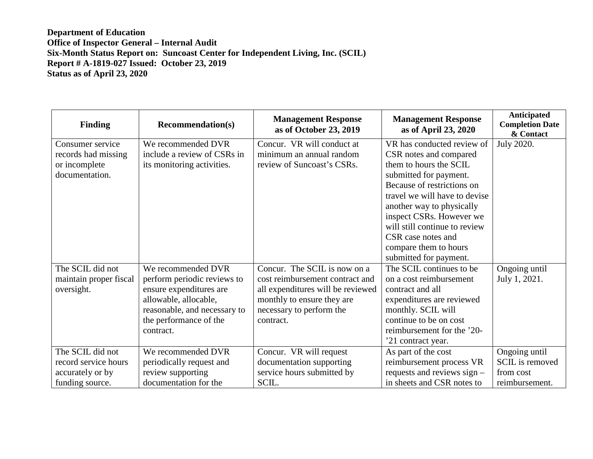| <b>Finding</b>         | <b>Recommendation(s)</b>     | <b>Management Response</b><br>as of October 23, 2019 | <b>Management Response</b><br>as of April 23, 2020 | Anticipated<br><b>Completion Date</b><br>& Contact |
|------------------------|------------------------------|------------------------------------------------------|----------------------------------------------------|----------------------------------------------------|
| Consumer service       | We recommended DVR           | Concur. VR will conduct at                           | VR has conducted review of                         | <b>July 2020.</b>                                  |
| records had missing    | include a review of CSRs in  | minimum an annual random                             | CSR notes and compared                             |                                                    |
| or incomplete          | its monitoring activities.   | review of Suncoast's CSRs.                           | them to hours the SCIL                             |                                                    |
| documentation.         |                              |                                                      | submitted for payment.                             |                                                    |
|                        |                              |                                                      | Because of restrictions on                         |                                                    |
|                        |                              |                                                      | travel we will have to devise                      |                                                    |
|                        |                              |                                                      | another way to physically                          |                                                    |
|                        |                              |                                                      | inspect CSRs. However we                           |                                                    |
|                        |                              |                                                      | will still continue to review                      |                                                    |
|                        |                              |                                                      | CSR case notes and                                 |                                                    |
|                        |                              |                                                      | compare them to hours                              |                                                    |
|                        |                              |                                                      | submitted for payment.                             |                                                    |
| The SCIL did not       | We recommended DVR           | Concur. The SCIL is now on a                         | The SCIL continues to be                           | Ongoing until                                      |
| maintain proper fiscal | perform periodic reviews to  | cost reimbursement contract and                      | on a cost reimbursement                            | July 1, 2021.                                      |
| oversight.             | ensure expenditures are      | all expenditures will be reviewed                    | contract and all                                   |                                                    |
|                        | allowable, allocable,        | monthly to ensure they are                           | expenditures are reviewed                          |                                                    |
|                        | reasonable, and necessary to | necessary to perform the                             | monthly. SCIL will                                 |                                                    |
|                        | the performance of the       | contract.                                            | continue to be on cost                             |                                                    |
|                        | contract.                    |                                                      | reimbursement for the '20-                         |                                                    |
|                        |                              |                                                      | '21 contract year.                                 |                                                    |
| The SCIL did not       | We recommended DVR           | Concur. VR will request                              | As part of the cost                                | Ongoing until                                      |
| record service hours   | periodically request and     | documentation supporting                             | reimbursement process VR                           | SCIL is removed                                    |
| accurately or by       | review supporting            | service hours submitted by                           | requests and reviews sign -                        | from cost                                          |
| funding source.        | documentation for the        | SCIL.                                                | in sheets and CSR notes to                         | reimbursement.                                     |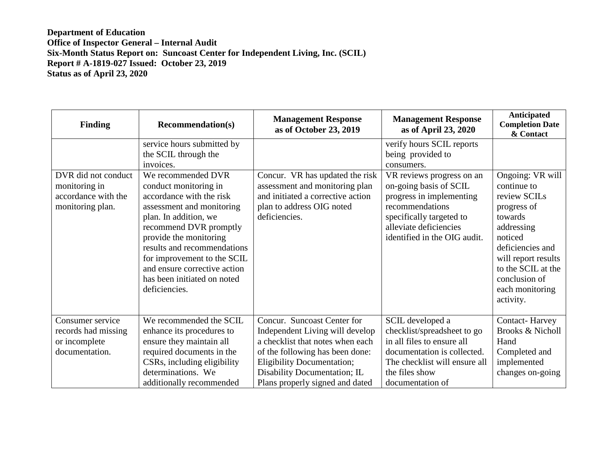| <b>Finding</b>                                                                  | <b>Recommendation(s)</b>                                                                                                                                                                                                                                                                                                        | <b>Management Response</b><br>as of October 23, 2019                                                                                                 | <b>Management Response</b><br>as of April 23, 2020                                                                                                                                       | Anticipated<br><b>Completion Date</b><br>& Contact                                                                                                                                                                   |
|---------------------------------------------------------------------------------|---------------------------------------------------------------------------------------------------------------------------------------------------------------------------------------------------------------------------------------------------------------------------------------------------------------------------------|------------------------------------------------------------------------------------------------------------------------------------------------------|------------------------------------------------------------------------------------------------------------------------------------------------------------------------------------------|----------------------------------------------------------------------------------------------------------------------------------------------------------------------------------------------------------------------|
|                                                                                 | service hours submitted by<br>the SCIL through the<br>invoices.                                                                                                                                                                                                                                                                 |                                                                                                                                                      | verify hours SCIL reports<br>being provided to<br>consumers.                                                                                                                             |                                                                                                                                                                                                                      |
| DVR did not conduct<br>monitoring in<br>accordance with the<br>monitoring plan. | We recommended DVR<br>conduct monitoring in<br>accordance with the risk<br>assessment and monitoring<br>plan. In addition, we<br>recommend DVR promptly<br>provide the monitoring<br>results and recommendations<br>for improvement to the SCIL<br>and ensure corrective action<br>has been initiated on noted<br>deficiencies. | Concur. VR has updated the risk<br>assessment and monitoring plan<br>and initiated a corrective action<br>plan to address OIG noted<br>deficiencies. | VR reviews progress on an<br>on-going basis of SCIL<br>progress in implementing<br>recommendations<br>specifically targeted to<br>alleviate deficiencies<br>identified in the OIG audit. | Ongoing: VR will<br>continue to<br>review SCILs<br>progress of<br>towards<br>addressing<br>noticed<br>deficiencies and<br>will report results<br>to the SCIL at the<br>conclusion of<br>each monitoring<br>activity. |
| Consumer service<br>records had missing<br>or incomplete                        | We recommended the SCIL<br>enhance its procedures to<br>ensure they maintain all                                                                                                                                                                                                                                                | Concur. Suncoast Center for<br>Independent Living will develop<br>a checklist that notes when each                                                   | SCIL developed a<br>checklist/spreadsheet to go<br>in all files to ensure all                                                                                                            | <b>Contact-Harvey</b><br><b>Brooks &amp; Nicholl</b><br>Hand                                                                                                                                                         |
| documentation.                                                                  | required documents in the<br>CSRs, including eligibility<br>determinations. We<br>additionally recommended                                                                                                                                                                                                                      | of the following has been done:<br><b>Eligibility Documentation;</b><br>Disability Documentation; IL<br>Plans properly signed and dated              | documentation is collected.<br>The checklist will ensure all<br>the files show<br>documentation of                                                                                       | Completed and<br>implemented<br>changes on-going                                                                                                                                                                     |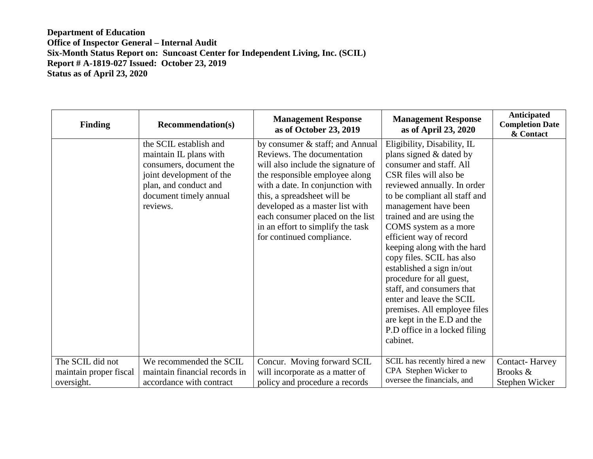| <b>Finding</b>                             | <b>Recommendation(s)</b>                                                                                                                                               | <b>Management Response</b><br>as of October 23, 2019                                                                                                                                                                                                                                                                                              | <b>Management Response</b><br>as of April 23, 2020                                                                                                                                                                                                                                                                                                                                                                                                                                                                                                                             | Anticipated<br><b>Completion Date</b><br>& Contact |
|--------------------------------------------|------------------------------------------------------------------------------------------------------------------------------------------------------------------------|---------------------------------------------------------------------------------------------------------------------------------------------------------------------------------------------------------------------------------------------------------------------------------------------------------------------------------------------------|--------------------------------------------------------------------------------------------------------------------------------------------------------------------------------------------------------------------------------------------------------------------------------------------------------------------------------------------------------------------------------------------------------------------------------------------------------------------------------------------------------------------------------------------------------------------------------|----------------------------------------------------|
|                                            | the SCIL establish and<br>maintain IL plans with<br>consumers, document the<br>joint development of the<br>plan, and conduct and<br>document timely annual<br>reviews. | by consumer & staff; and Annual<br>Reviews. The documentation<br>will also include the signature of<br>the responsible employee along<br>with a date. In conjunction with<br>this, a spreadsheet will be<br>developed as a master list with<br>each consumer placed on the list<br>in an effort to simplify the task<br>for continued compliance. | Eligibility, Disability, IL<br>plans signed & dated by<br>consumer and staff. All<br>CSR files will also be<br>reviewed annually. In order<br>to be compliant all staff and<br>management have been<br>trained and are using the<br>COMS system as a more<br>efficient way of record<br>keeping along with the hard<br>copy files. SCIL has also<br>established a sign in/out<br>procedure for all guest,<br>staff, and consumers that<br>enter and leave the SCIL<br>premises. All employee files<br>are kept in the E.D and the<br>P.D office in a locked filing<br>cabinet. |                                                    |
| The SCIL did not<br>maintain proper fiscal | We recommended the SCIL<br>maintain financial records in                                                                                                               | Concur. Moving forward SCIL<br>will incorporate as a matter of                                                                                                                                                                                                                                                                                    | SCIL has recently hired a new<br>CPA Stephen Wicker to<br>oversee the financials, and                                                                                                                                                                                                                                                                                                                                                                                                                                                                                          | <b>Contact-Harvey</b><br>Brooks &                  |
| oversight.                                 | accordance with contract                                                                                                                                               | policy and procedure a records                                                                                                                                                                                                                                                                                                                    |                                                                                                                                                                                                                                                                                                                                                                                                                                                                                                                                                                                | Stephen Wicker                                     |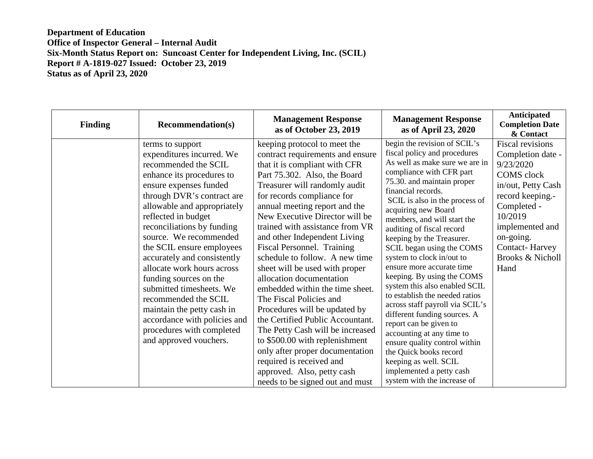| <b>Finding</b> | <b>Recommendation(s)</b>                                                                                                                                                                                                                                                                                                                                                                                                                                                                                                                                              | <b>Management Response</b><br>as of October 23, 2019                                                                                                                                                                                                                                                                                                                                                                                                                                                                                                                                                                                                                                                                                                                                                          | <b>Management Response</b><br>as of April 23, 2020                                                                                                                                                                                                                                                                                                                                                                                                                                                                                                                                                                                                                                                                                                                                                | Anticipated<br><b>Completion Date</b><br>& Contact                                                                                                                                                                                                 |
|----------------|-----------------------------------------------------------------------------------------------------------------------------------------------------------------------------------------------------------------------------------------------------------------------------------------------------------------------------------------------------------------------------------------------------------------------------------------------------------------------------------------------------------------------------------------------------------------------|---------------------------------------------------------------------------------------------------------------------------------------------------------------------------------------------------------------------------------------------------------------------------------------------------------------------------------------------------------------------------------------------------------------------------------------------------------------------------------------------------------------------------------------------------------------------------------------------------------------------------------------------------------------------------------------------------------------------------------------------------------------------------------------------------------------|---------------------------------------------------------------------------------------------------------------------------------------------------------------------------------------------------------------------------------------------------------------------------------------------------------------------------------------------------------------------------------------------------------------------------------------------------------------------------------------------------------------------------------------------------------------------------------------------------------------------------------------------------------------------------------------------------------------------------------------------------------------------------------------------------|----------------------------------------------------------------------------------------------------------------------------------------------------------------------------------------------------------------------------------------------------|
|                | terms to support<br>expenditures incurred. We<br>recommended the SCIL<br>enhance its procedures to<br>ensure expenses funded<br>through DVR's contract are<br>allowable and appropriately<br>reflected in budget<br>reconciliations by funding<br>source. We recommended<br>the SCIL ensure employees<br>accurately and consistently<br>allocate work hours across<br>funding sources on the<br>submitted timesheets. We<br>recommended the SCIL<br>maintain the petty cash in<br>accordance with policies and<br>procedures with completed<br>and approved vouchers. | keeping protocol to meet the<br>contract requirements and ensure<br>that it is compliant with CFR<br>Part 75.302. Also, the Board<br>Treasurer will randomly audit<br>for records compliance for<br>annual meeting report and the<br>New Executive Director will be<br>trained with assistance from VR<br>and other Independent Living<br>Fiscal Personnel. Training<br>schedule to follow. A new time<br>sheet will be used with proper<br>allocation documentation<br>embedded within the time sheet.<br>The Fiscal Policies and<br>Procedures will be updated by<br>the Certified Public Accountant.<br>The Petty Cash will be increased<br>to \$500.00 with replenishment<br>only after proper documentation<br>required is received and<br>approved. Also, petty cash<br>needs to be signed out and must | begin the revision of SCIL's<br>fiscal policy and procedures<br>As well as make sure we are in<br>compliance with CFR part<br>75.30. and maintain proper<br>financial records.<br>SCIL is also in the process of<br>acquiring new Board<br>members, and will start the<br>auditing of fiscal record<br>keeping by the Treasurer.<br>SCIL began using the COMS<br>system to clock in/out to<br>ensure more accurate time<br>keeping. By using the COMS<br>system this also enabled SCIL<br>to establish the needed ratios<br>across staff payroll via SCIL's<br>different funding sources. A<br>report can be given to<br>accounting at any time to<br>ensure quality control within<br>the Quick books record<br>keeping as well. SCIL<br>implemented a petty cash<br>system with the increase of | <b>Fiscal revisions</b><br>Completion date -<br>9/23/2020<br><b>COMS</b> clock<br>in/out, Petty Cash<br>record keeping.-<br>Completed -<br>10/2019<br>implemented and<br>on-going.<br><b>Contact-Harvey</b><br><b>Brooks &amp; Nicholl</b><br>Hand |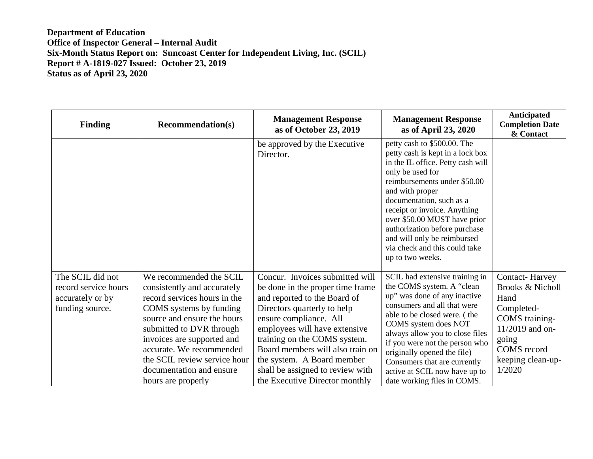| <b>Finding</b>                                                                  | <b>Recommendation(s)</b>                                                                                                                                                                                                                                                                                                 | <b>Management Response</b><br>as of October 23, 2019                                                                                                                                                                                                                                                                                                                  | <b>Management Response</b><br>as of April 23, 2020                                                                                                                                                                                                                                                                                                                                           | Anticipated<br><b>Completion Date</b><br>& Contact                                                                                                                              |
|---------------------------------------------------------------------------------|--------------------------------------------------------------------------------------------------------------------------------------------------------------------------------------------------------------------------------------------------------------------------------------------------------------------------|-----------------------------------------------------------------------------------------------------------------------------------------------------------------------------------------------------------------------------------------------------------------------------------------------------------------------------------------------------------------------|----------------------------------------------------------------------------------------------------------------------------------------------------------------------------------------------------------------------------------------------------------------------------------------------------------------------------------------------------------------------------------------------|---------------------------------------------------------------------------------------------------------------------------------------------------------------------------------|
|                                                                                 |                                                                                                                                                                                                                                                                                                                          | be approved by the Executive<br>Director.                                                                                                                                                                                                                                                                                                                             | petty cash to \$500.00. The<br>petty cash is kept in a lock box<br>in the IL office. Petty cash will<br>only be used for<br>reimbursements under \$50.00<br>and with proper<br>documentation, such as a<br>receipt or invoice. Anything<br>over \$50.00 MUST have prior<br>authorization before purchase<br>and will only be reimbursed<br>via check and this could take<br>up to two weeks. |                                                                                                                                                                                 |
| The SCIL did not<br>record service hours<br>accurately or by<br>funding source. | We recommended the SCIL<br>consistently and accurately<br>record services hours in the<br>COMS systems by funding<br>source and ensure the hours<br>submitted to DVR through<br>invoices are supported and<br>accurate. We recommended<br>the SCIL review service hour<br>documentation and ensure<br>hours are properly | Concur. Invoices submitted will<br>be done in the proper time frame<br>and reported to the Board of<br>Directors quarterly to help<br>ensure compliance. All<br>employees will have extensive<br>training on the COMS system.<br>Board members will also train on<br>the system. A Board member<br>shall be assigned to review with<br>the Executive Director monthly | SCIL had extensive training in<br>the COMS system. A "clean"<br>up" was done of any inactive<br>consumers and all that were<br>able to be closed were. (the<br>COMS system does NOT<br>always allow you to close files<br>if you were not the person who<br>originally opened the file)<br>Consumers that are currently<br>active at SCIL now have up to<br>date working files in COMS.      | <b>Contact-Harvey</b><br><b>Brooks &amp; Nicholl</b><br>Hand<br>Completed-<br>COMS training-<br>$11/2019$ and on-<br>going<br><b>COMS</b> record<br>keeping clean-up-<br>1/2020 |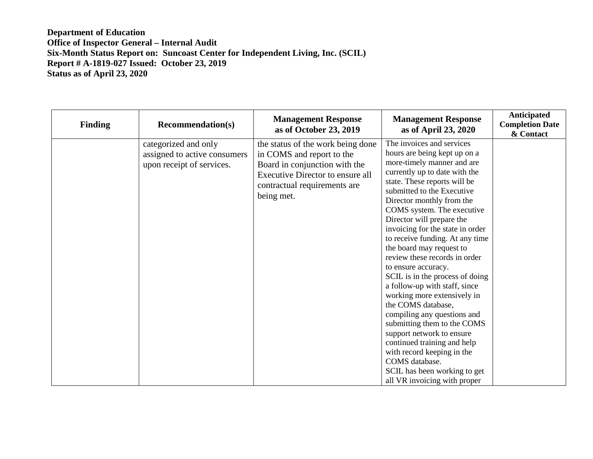| <b>Finding</b> | <b>Recommendation(s)</b>                                                          | <b>Management Response</b><br>as of October 23, 2019                                                                                                                              | <b>Management Response</b><br>as of April 23, 2020                                                                                                                                                                                                                                                                                                                                                                                                                                                                                                                                                                                                                                                                                                                                                           | Anticipated<br><b>Completion Date</b><br>& Contact |
|----------------|-----------------------------------------------------------------------------------|-----------------------------------------------------------------------------------------------------------------------------------------------------------------------------------|--------------------------------------------------------------------------------------------------------------------------------------------------------------------------------------------------------------------------------------------------------------------------------------------------------------------------------------------------------------------------------------------------------------------------------------------------------------------------------------------------------------------------------------------------------------------------------------------------------------------------------------------------------------------------------------------------------------------------------------------------------------------------------------------------------------|----------------------------------------------------|
|                | categorized and only<br>assigned to active consumers<br>upon receipt of services. | the status of the work being done<br>in COMS and report to the<br>Board in conjunction with the<br>Executive Director to ensure all<br>contractual requirements are<br>being met. | The invoices and services<br>hours are being kept up on a<br>more-timely manner and are<br>currently up to date with the<br>state. These reports will be<br>submitted to the Executive<br>Director monthly from the<br>COMS system. The executive<br>Director will prepare the<br>invoicing for the state in order<br>to receive funding. At any time<br>the board may request to<br>review these records in order<br>to ensure accuracy.<br>SCIL is in the process of doing<br>a follow-up with staff, since<br>working more extensively in<br>the COMS database,<br>compiling any questions and<br>submitting them to the COMS<br>support network to ensure<br>continued training and help<br>with record keeping in the<br>COMS database.<br>SCIL has been working to get<br>all VR invoicing with proper |                                                    |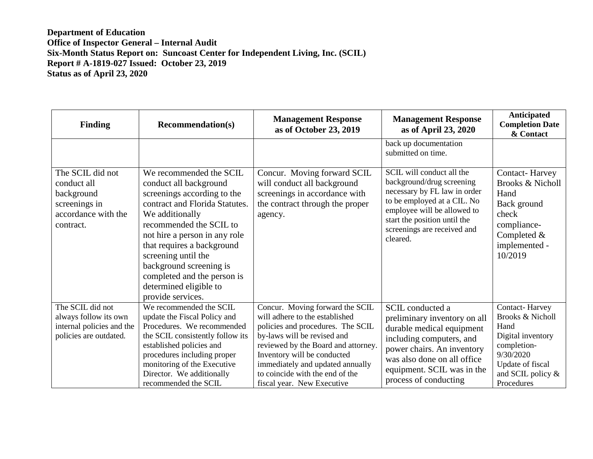| <b>Finding</b>                                                                                     | <b>Recommendation(s)</b>                                                                                                                                                                                                                                                                                                                                        | <b>Management Response</b><br>as of October 23, 2019                                                                                                                                                                                                                                                             | <b>Management Response</b><br>as of April 23, 2020                                                                                                                                                                              | Anticipated<br><b>Completion Date</b><br>& Contact                                                                                                            |
|----------------------------------------------------------------------------------------------------|-----------------------------------------------------------------------------------------------------------------------------------------------------------------------------------------------------------------------------------------------------------------------------------------------------------------------------------------------------------------|------------------------------------------------------------------------------------------------------------------------------------------------------------------------------------------------------------------------------------------------------------------------------------------------------------------|---------------------------------------------------------------------------------------------------------------------------------------------------------------------------------------------------------------------------------|---------------------------------------------------------------------------------------------------------------------------------------------------------------|
|                                                                                                    |                                                                                                                                                                                                                                                                                                                                                                 |                                                                                                                                                                                                                                                                                                                  | back up documentation<br>submitted on time.                                                                                                                                                                                     |                                                                                                                                                               |
| The SCIL did not<br>conduct all<br>background<br>screenings in<br>accordance with the<br>contract. | We recommended the SCIL<br>conduct all background<br>screenings according to the<br>contract and Florida Statutes.<br>We additionally<br>recommended the SCIL to<br>not hire a person in any role<br>that requires a background<br>screening until the<br>background screening is<br>completed and the person is<br>determined eligible to<br>provide services. | Concur. Moving forward SCIL<br>will conduct all background<br>screenings in accordance with<br>the contract through the proper<br>agency.                                                                                                                                                                        | SCIL will conduct all the<br>background/drug screening<br>necessary by FL law in order<br>to be employed at a CIL. No<br>employee will be allowed to<br>start the position until the<br>screenings are received and<br>cleared. | <b>Contact-Harvey</b><br><b>Brooks &amp; Nicholl</b><br>Hand<br>Back ground<br>check<br>compliance-<br>Completed $&$<br>implemented -<br>10/2019              |
| The SCIL did not<br>always follow its own<br>internal policies and the<br>policies are outdated.   | We recommended the SCIL<br>update the Fiscal Policy and<br>Procedures. We recommended<br>the SCIL consistently follow its<br>established policies and<br>procedures including proper<br>monitoring of the Executive<br>Director. We additionally<br>recommended the SCIL                                                                                        | Concur. Moving forward the SCIL<br>will adhere to the established<br>policies and procedures. The SCIL<br>by-laws will be revised and<br>reviewed by the Board and attorney.<br>Inventory will be conducted<br>immediately and updated annually<br>to coincide with the end of the<br>fiscal year. New Executive | SCIL conducted a<br>preliminary inventory on all<br>durable medical equipment<br>including computers, and<br>power chairs. An inventory<br>was also done on all office<br>equipment. SCIL was in the<br>process of conducting   | Contact-Harvey<br><b>Brooks &amp; Nicholl</b><br>Hand<br>Digital inventory<br>completion-<br>9/30/2020<br>Update of fiscal<br>and SCIL policy &<br>Procedures |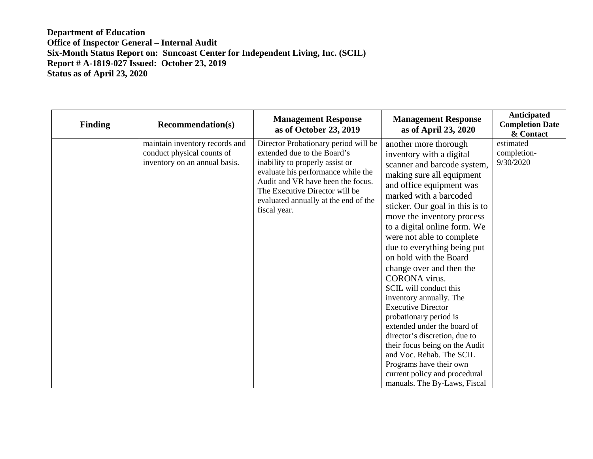| <b>Finding</b> | <b>Recommendation(s)</b>                                                                      | <b>Management Response</b><br>as of October 23, 2019                                                                                                                                                                                                                        | <b>Management Response</b><br>as of April 23, 2020                                                                                                                                                                                                                                                                                                                                                                                                                                                                                                                                                                                                                                                                                                   | Anticipated<br><b>Completion Date</b><br>& Contact |
|----------------|-----------------------------------------------------------------------------------------------|-----------------------------------------------------------------------------------------------------------------------------------------------------------------------------------------------------------------------------------------------------------------------------|------------------------------------------------------------------------------------------------------------------------------------------------------------------------------------------------------------------------------------------------------------------------------------------------------------------------------------------------------------------------------------------------------------------------------------------------------------------------------------------------------------------------------------------------------------------------------------------------------------------------------------------------------------------------------------------------------------------------------------------------------|----------------------------------------------------|
|                | maintain inventory records and<br>conduct physical counts of<br>inventory on an annual basis. | Director Probationary period will be<br>extended due to the Board's<br>inability to properly assist or<br>evaluate his performance while the<br>Audit and VR have been the focus.<br>The Executive Director will be<br>evaluated annually at the end of the<br>fiscal year. | another more thorough<br>inventory with a digital<br>scanner and barcode system,<br>making sure all equipment<br>and office equipment was<br>marked with a barcoded<br>sticker. Our goal in this is to<br>move the inventory process<br>to a digital online form. We<br>were not able to complete<br>due to everything being put<br>on hold with the Board<br>change over and then the<br><b>CORONA</b> virus.<br>SCIL will conduct this<br>inventory annually. The<br><b>Executive Director</b><br>probationary period is<br>extended under the board of<br>director's discretion, due to<br>their focus being on the Audit<br>and Voc. Rehab. The SCIL<br>Programs have their own<br>current policy and procedural<br>manuals. The By-Laws, Fiscal | estimated<br>completion-<br>9/30/2020              |